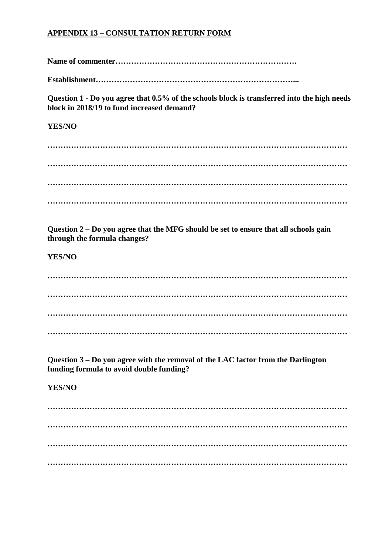## **APPENDIX 13 – CONSULTATION RETURN FORM**

**Name of commenter……………………………………………………………**

**Establishment…………………………………………………………………...**

**Question 1 - Do you agree that 0.5% of the schools block is transferred into the high needs block in 2018/19 to fund increased demand?**

## **YES/NO**

**…………………………………………………………………………………………………… …………………………………………………………………………………………………… …………………………………………………………………………………………………… ……………………………………………………………………………………………………**

**Question 2 – Do you agree that the MFG should be set to ensure that all schools gain through the formula changes?**

**YES/NO**

**…………………………………………………………………………………………………… …………………………………………………………………………………………………… …………………………………………………………………………………………………… ……………………………………………………………………………………………………**

**Question 3 – Do you agree with the removal of the LAC factor from the Darlington funding formula to avoid double funding?**

## **YES/NO**

**…………………………………………………………………………………………………… …………………………………………………………………………………………………… …………………………………………………………………………………………………… ……………………………………………………………………………………………………**